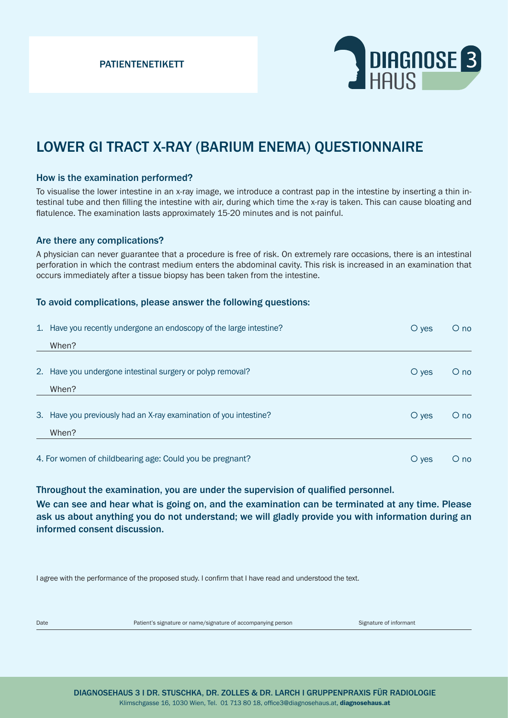PATIENTENETIKETT



# LOWER GI TRACT X-RAY (BARIUM ENEMA) QUESTIONNAIRE

#### How is the examination performed?

To visualise the lower intestine in an x-ray image, we introduce a contrast pap in the intestine by inserting a thin intestinal tube and then filling the intestine with air, during which time the x-ray is taken. This can cause bloating and flatulence. The examination lasts approximately 15-20 minutes and is not painful.

### Are there any complications?

A physician can never guarantee that a procedure is free of risk. On extremely rare occasions, there is an intestinal perforation in which the contrast medium enters the abdominal cavity. This risk is increased in an examination that occurs immediately after a tissue biopsy has been taken from the intestine.

### To avoid complications, please answer the following questions:

|                                                          | 1. Have you recently undergone an endoscopy of the large intestine? | $\circ$ yes        | $O$ no     |
|----------------------------------------------------------|---------------------------------------------------------------------|--------------------|------------|
|                                                          | When?                                                               |                    |            |
|                                                          | 2. Have you undergone intestinal surgery or polyp removal?          | $\circ$ yes        | $\circ$ no |
|                                                          | When?                                                               |                    |            |
|                                                          | 3. Have you previously had an X-ray examination of you intestine?   | $\circ$ ves        | $\circ$ no |
|                                                          | When?                                                               |                    |            |
| 4. For women of childbearing age: Could you be pregnant? |                                                                     | $\overline{O}$ yes | $\circ$ no |

Throughout the examination, you are under the supervision of qualified personnel.

We can see and hear what is going on, and the examination can be terminated at any time. Please ask us about anything you do not understand; we will gladly provide you with information during an informed consent discussion.

I agree with the performance of the proposed study. I confirm that I have read and understood the text.

Date **Patient's signature or name/signature of accompanying person** Signature of informant